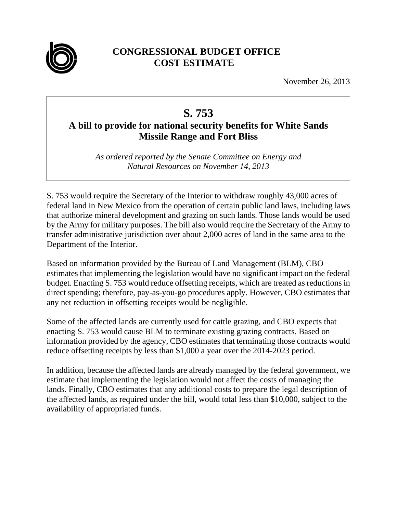

## **CONGRESSIONAL BUDGET OFFICE COST ESTIMATE**

November 26, 2013

## **S. 753**

## **A bill to provide for national security benefits for White Sands Missile Range and Fort Bliss**

*As ordered reported by the Senate Committee on Energy and Natural Resources on November 14, 2013* 

S. 753 would require the Secretary of the Interior to withdraw roughly 43,000 acres of federal land in New Mexico from the operation of certain public land laws, including laws that authorize mineral development and grazing on such lands. Those lands would be used by the Army for military purposes. The bill also would require the Secretary of the Army to transfer administrative jurisdiction over about 2,000 acres of land in the same area to the Department of the Interior.

Based on information provided by the Bureau of Land Management (BLM), CBO estimates that implementing the legislation would have no significant impact on the federal budget. Enacting S. 753 would reduce offsetting receipts, which are treated as reductions in direct spending; therefore, pay-as-you-go procedures apply. However, CBO estimates that any net reduction in offsetting receipts would be negligible.

Some of the affected lands are currently used for cattle grazing, and CBO expects that enacting S. 753 would cause BLM to terminate existing grazing contracts. Based on information provided by the agency, CBO estimates that terminating those contracts would reduce offsetting receipts by less than \$1,000 a year over the 2014-2023 period.

In addition, because the affected lands are already managed by the federal government, we estimate that implementing the legislation would not affect the costs of managing the lands. Finally, CBO estimates that any additional costs to prepare the legal description of the affected lands, as required under the bill, would total less than \$10,000, subject to the availability of appropriated funds.